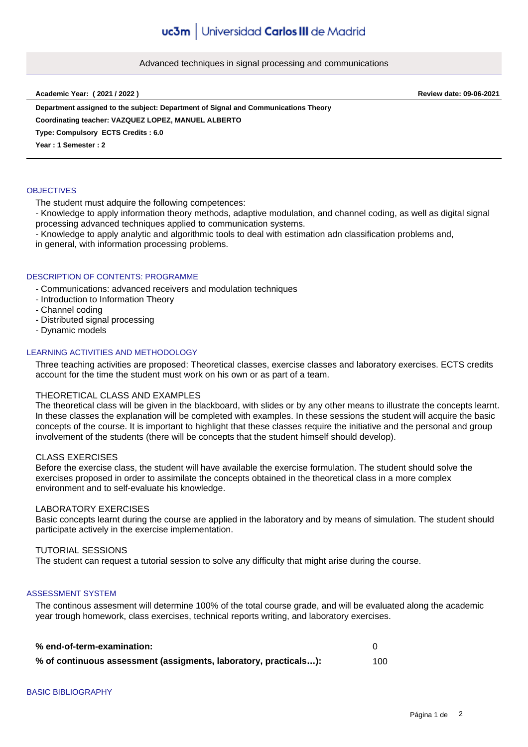### Advanced techniques in signal processing and communications

**Academic Year: ( 2021 / 2022 ) Review date: 09-06-2021**

**Department assigned to the subject: Department of Signal and Communications Theory**

**Coordinating teacher: VAZQUEZ LOPEZ, MANUEL ALBERTO**

**Type: Compulsory ECTS Credits : 6.0**

**Year : 1 Semester : 2**

## **OBJECTIVES**

The student must adquire the following competences:

- Knowledge to apply information theory methods, adaptive modulation, and channel coding, as well as digital signal processing advanced techniques applied to communication systems.

- Knowledge to apply analytic and algorithmic tools to deal with estimation adn classification problems and,

in general, with information processing problems.

### DESCRIPTION OF CONTENTS: PROGRAMME

- Communications: advanced receivers and modulation techniques

- Introduction to Information Theory
- Channel coding
- Distributed signal processing
- Dynamic models

### LEARNING ACTIVITIES AND METHODOLOGY

Three teaching activities are proposed: Theoretical classes, exercise classes and laboratory exercises. ECTS credits account for the time the student must work on his own or as part of a team.

### THEORETICAL CLASS AND EXAMPLES

The theoretical class will be given in the blackboard, with slides or by any other means to illustrate the concepts learnt. In these classes the explanation will be completed with examples. In these sessions the student will acquire the basic concepts of the course. It is important to highlight that these classes require the initiative and the personal and group involvement of the students (there will be concepts that the student himself should develop).

#### CLASS EXERCISES

Before the exercise class, the student will have available the exercise formulation. The student should solve the exercises proposed in order to assimilate the concepts obtained in the theoretical class in a more complex environment and to self-evaluate his knowledge.

# LABORATORY EXERCISES

Basic concepts learnt during the course are applied in the laboratory and by means of simulation. The student should participate actively in the exercise implementation.

### TUTORIAL SESSIONS

The student can request a tutorial session to solve any difficulty that might arise during the course.

### ASSESSMENT SYSTEM

The continous assesment will determine 100% of the total course grade, and will be evaluated along the academic year trough homework, class exercises, technical reports writing, and laboratory exercises.

| % end-of-term-examination:                                       |     |
|------------------------------------------------------------------|-----|
| % of continuous assessment (assigments, laboratory, practicals): | 100 |